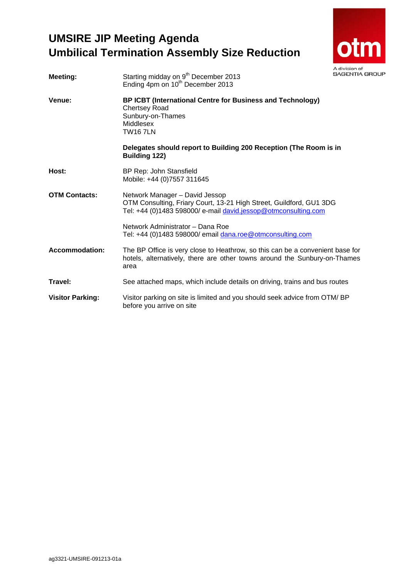# **UMSIRE JIP Meeting Agenda Umbilical Termination Assembly Size Reduction**



| <b>Meeting:</b>         | Starting midday on 9 <sup>th</sup> December 2013<br>Ending 4pm on 10 <sup>th</sup> December 2013                                                                        | <b>SAGENTIA G</b> |
|-------------------------|-------------------------------------------------------------------------------------------------------------------------------------------------------------------------|-------------------|
| Venue:                  | BP ICBT (International Centre for Business and Technology)<br><b>Chertsey Road</b><br>Sunbury-on-Thames<br>Middlesex<br><b>TW167LN</b>                                  |                   |
|                         | Delegates should report to Building 200 Reception (The Room is in<br><b>Building 122)</b>                                                                               |                   |
| Host:                   | BP Rep: John Stansfield<br>Mobile: +44 (0)7557 311645                                                                                                                   |                   |
| <b>OTM Contacts:</b>    | Network Manager - David Jessop<br>OTM Consulting, Friary Court, 13-21 High Street, Guildford, GU1 3DG<br>Tel: +44 (0)1483 598000/ e-mail david.jessop@otmconsulting.com |                   |
|                         | Network Administrator - Dana Roe<br>Tel: +44 (0)1483 598000/ email dana.roe@otmconsulting.com                                                                           |                   |
| <b>Accommodation:</b>   | The BP Office is very close to Heathrow, so this can be a convenient base for<br>hotels, alternatively, there are other towns around the Sunbury-on-Thames<br>area      |                   |
| Travel:                 | See attached maps, which include details on driving, trains and bus routes                                                                                              |                   |
| <b>Visitor Parking:</b> | Visitor parking on site is limited and you should seek advice from OTM/BP<br>before you arrive on site                                                                  |                   |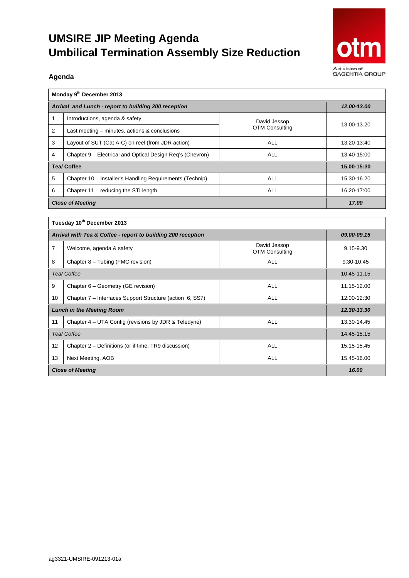# **UMSIRE JIP Meeting Agenda Umbilical Termination Assembly Size Reduction**



#### **Agenda**

| Monday 9 <sup>th</sup> December 2013                 |                                                           |                       |             |  |  |  |
|------------------------------------------------------|-----------------------------------------------------------|-----------------------|-------------|--|--|--|
| Arrival and Lunch - report to building 200 reception | 12.00-13.00                                               |                       |             |  |  |  |
|                                                      | Introductions, agenda & safety                            | David Jessop          | 13.00-13.20 |  |  |  |
| 2                                                    | Last meeting – minutes, actions & conclusions             | <b>OTM Consulting</b> |             |  |  |  |
| 3                                                    | Layout of SUT (Cat A-C) on reel (from JDR action)         | ALL                   | 13.20-13:40 |  |  |  |
| 4                                                    | Chapter 9 – Electrical and Optical Design Reg's (Chevron) | ALL                   | 13:40-15:00 |  |  |  |
| <b>Tea/ Coffee</b>                                   | 15.00-15:30                                               |                       |             |  |  |  |
| 5                                                    | Chapter 10 - Installer's Handling Requirements (Technip)  | ALL                   | 15.30-16.20 |  |  |  |
| 6                                                    | Chapter 11 - reducing the STI length                      | ALL                   | 16:20-17:00 |  |  |  |
| <b>Close of Meeting</b>                              | 17.00                                                     |                       |             |  |  |  |

| Tuesday 10th December 2013                                   |                                                          |                                       |             |  |  |
|--------------------------------------------------------------|----------------------------------------------------------|---------------------------------------|-------------|--|--|
| Arrival with Tea & Coffee - report to building 200 reception | 09.00-09.15                                              |                                       |             |  |  |
| 7                                                            | Welcome, agenda & safety                                 | David Jessop<br><b>OTM Consulting</b> | 9.15-9.30   |  |  |
| 8                                                            | Chapter 8 – Tubing (FMC revision)                        | <b>ALL</b>                            | 9:30-10:45  |  |  |
| Tea/Coffee                                                   | 10.45-11.15                                              |                                       |             |  |  |
| 9                                                            | Chapter 6 – Geometry (GE revision)                       | <b>ALL</b>                            | 11.15-12.00 |  |  |
| 10                                                           | Chapter 7 - Interfaces Support Structure (action 6, SS7) | <b>ALL</b>                            | 12:00-12:30 |  |  |
| <b>Lunch in the Meeting Room</b>                             | 12.30-13.30                                              |                                       |             |  |  |
| 11                                                           | Chapter 4 – UTA Config (revisions by JDR & Teledyne)     | <b>ALL</b>                            | 13.30-14.45 |  |  |
| Tea/Coffee                                                   | 14.45-15.15                                              |                                       |             |  |  |
| 12                                                           | Chapter 2 – Definitions (or if time, TR9 discussion)     | <b>ALL</b>                            | 15.15-15.45 |  |  |
| 13                                                           | Next Meeting, AOB                                        | <b>ALL</b>                            | 15.45-16.00 |  |  |
| <b>Close of Meeting</b>                                      | 16.00                                                    |                                       |             |  |  |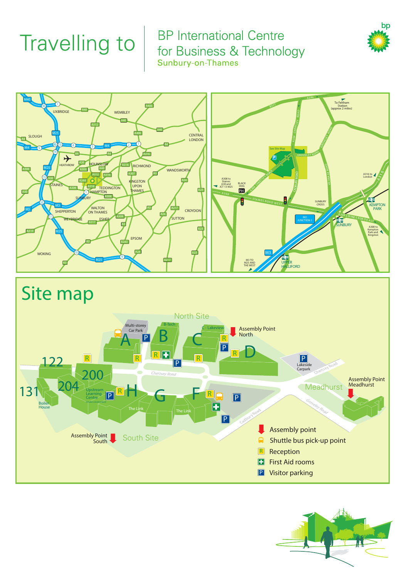# **Travelling to**

## **BP** International Centre for Business & Technology Sunbury-on-Thames